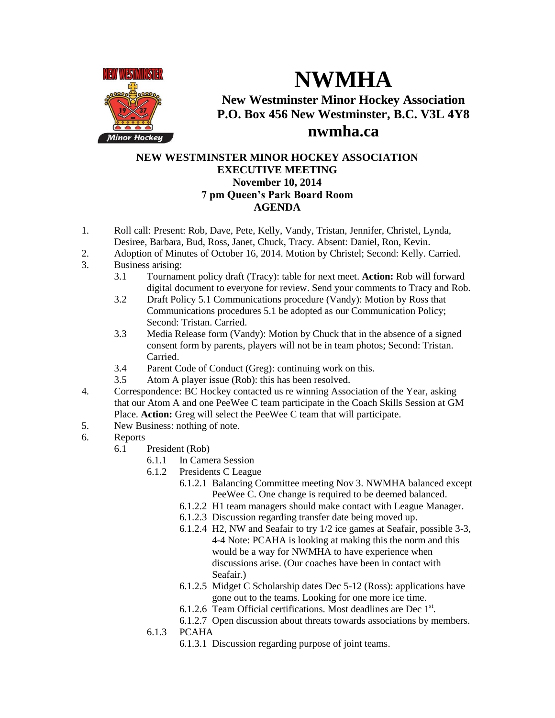

# **NWMHA**

**New Westminster Minor Hockey Association P.O. Box 456 New Westminster, B.C. V3L 4Y8 nwmha.ca**

# **NEW WESTMINSTER MINOR HOCKEY ASSOCIATION EXECUTIVE MEETING November 10, 2014 7 pm Queen's Park Board Room AGENDA**

- 1. Roll call: Present: Rob, Dave, Pete, Kelly, Vandy, Tristan, Jennifer, Christel, Lynda, Desiree, Barbara, Bud, Ross, Janet, Chuck, Tracy. Absent: Daniel, Ron, Kevin.
- 2. Adoption of Minutes of October 16, 2014. Motion by Christel; Second: Kelly. Carried.
- 3. Business arising:
	- 3.1 Tournament policy draft (Tracy): table for next meet. **Action:** Rob will forward digital document to everyone for review. Send your comments to Tracy and Rob.
	- 3.2 Draft Policy 5.1 Communications procedure (Vandy): Motion by Ross that Communications procedures 5.1 be adopted as our Communication Policy; Second: Tristan. Carried.
	- 3.3 Media Release form (Vandy): Motion by Chuck that in the absence of a signed consent form by parents, players will not be in team photos; Second: Tristan. Carried.
	- 3.4 Parent Code of Conduct (Greg): continuing work on this.
	- 3.5 Atom A player issue (Rob): this has been resolved.
- 4. Correspondence: BC Hockey contacted us re winning Association of the Year, asking that our Atom A and one PeeWee C team participate in the Coach Skills Session at GM Place. **Action:** Greg will select the PeeWee C team that will participate.
- 5. New Business: nothing of note.
- 6. Reports
	- 6.1 President (Rob)
		- 6.1.1 In Camera Session
		- 6.1.2 Presidents C League
			- 6.1.2.1 Balancing Committee meeting Nov 3. NWMHA balanced except PeeWee C. One change is required to be deemed balanced.
				- 6.1.2.2 H1 team managers should make contact with League Manager.
			- 6.1.2.3 Discussion regarding transfer date being moved up.
			- 6.1.2.4 H2, NW and Seafair to try 1/2 ice games at Seafair, possible 3-3, 4-4 Note: PCAHA is looking at making this the norm and this would be a way for NWMHA to have experience when discussions arise. (Our coaches have been in contact with Seafair.)
			- 6.1.2.5 Midget C Scholarship dates Dec 5-12 (Ross): applications have gone out to the teams. Looking for one more ice time.
			- 6.1.2.6 Team Official certifications. Most deadlines are Dec  $1<sup>st</sup>$ .
			- 6.1.2.7 Open discussion about threats towards associations by members.
		- 6.1.3 PCAHA
			- 6.1.3.1 Discussion regarding purpose of joint teams.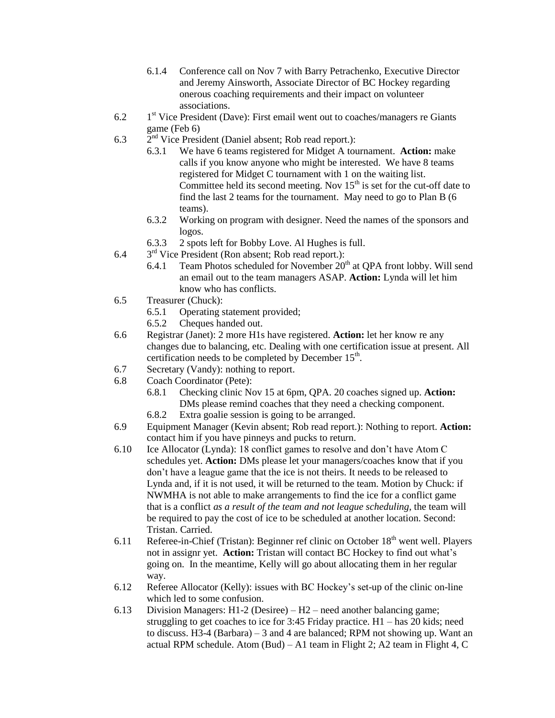- 6.1.4 Conference call on Nov 7 with Barry Petrachenko, Executive Director and Jeremy Ainsworth, Associate Director of BC Hockey regarding onerous coaching requirements and their impact on volunteer associations.
- 6.2  $1<sup>st</sup>$  Vice President (Dave): First email went out to coaches/managers re Giants game (Feb 6)
- 6.3  $2<sup>nd</sup>$  Vice President (Daniel absent; Rob read report.):
	- 6.3.1 We have 6 teams registered for Midget A tournament. **Action:** make calls if you know anyone who might be interested. We have 8 teams registered for Midget C tournament with 1 on the waiting list. Committee held its second meeting. Nov  $15<sup>th</sup>$  is set for the cut-off date to find the last 2 teams for the tournament. May need to go to Plan B (6 teams).
	- 6.3.2 Working on program with designer. Need the names of the sponsors and logos.
	- 6.3.3 2 spots left for Bobby Love. Al Hughes is full.
- 6.4  $3<sup>rd</sup>$  Vice President (Ron absent; Rob read report.):
	- 6.4.1 Team Photos scheduled for November  $20<sup>th</sup>$  at QPA front lobby. Will send an email out to the team managers ASAP. **Action:** Lynda will let him know who has conflicts.
- 6.5 Treasurer (Chuck):
	- 6.5.1 Operating statement provided;
	- 6.5.2 Cheques handed out.
- 6.6 Registrar (Janet): 2 more H1s have registered. **Action:** let her know re any changes due to balancing, etc. Dealing with one certification issue at present. All certification needs to be completed by December  $15<sup>th</sup>$ .
- 6.7 Secretary (Vandy): nothing to report.
- 6.8 Coach Coordinator (Pete):
	- 6.8.1 Checking clinic Nov 15 at 6pm, QPA. 20 coaches signed up. **Action:** DMs please remind coaches that they need a checking component.
	- 6.8.2 Extra goalie session is going to be arranged.
- 6.9 Equipment Manager (Kevin absent; Rob read report.): Nothing to report. **Action:** contact him if you have pinneys and pucks to return.
- 6.10 Ice Allocator (Lynda): 18 conflict games to resolve and don't have Atom C schedules yet. **Action:** DMs please let your managers/coaches know that if you don't have a league game that the ice is not theirs. It needs to be released to Lynda and, if it is not used, it will be returned to the team. Motion by Chuck: if NWMHA is not able to make arrangements to find the ice for a conflict game that is a conflict *as a result of the team and not league scheduling*, the team will be required to pay the cost of ice to be scheduled at another location. Second: Tristan. Carried.
- 6.11 Referee-in-Chief (Tristan): Beginner ref clinic on October  $18<sup>th</sup>$  went well. Players not in assignr yet. **Action:** Tristan will contact BC Hockey to find out what's going on. In the meantime, Kelly will go about allocating them in her regular way.
- 6.12 Referee Allocator (Kelly): issues with BC Hockey's set-up of the clinic on-line which led to some confusion.
- 6.13 Division Managers: H1-2 (Desiree) H2 need another balancing game; struggling to get coaches to ice for 3:45 Friday practice. H1 – has 20 kids; need to discuss. H3-4 (Barbara) – 3 and 4 are balanced; RPM not showing up. Want an actual RPM schedule. Atom (Bud) – A1 team in Flight 2; A2 team in Flight 4, C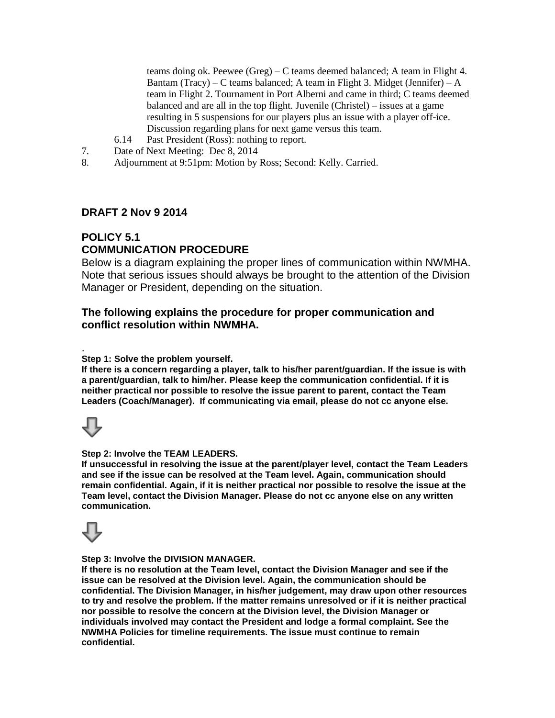teams doing ok. Peewee (Greg) – C teams deemed balanced; A team in Flight 4. Bantam (Tracy) – C teams balanced; A team in Flight 3. Midget (Jennifer) – A team in Flight 2. Tournament in Port Alberni and came in third; C teams deemed balanced and are all in the top flight. Juvenile (Christel) – issues at a game resulting in 5 suspensions for our players plus an issue with a player off-ice. Discussion regarding plans for next game versus this team.

- 6.14 Past President (Ross): nothing to report.
- 7. Date of Next Meeting: Dec 8, 2014
- 8. Adjournment at 9:51pm: Motion by Ross; Second: Kelly. Carried.

# **DRAFT 2 Nov 9 2014**

# **POLICY 5.1 COMMUNICATION PROCEDURE**

Below is a diagram explaining the proper lines of communication within NWMHA. Note that serious issues should always be brought to the attention of the Division Manager or President, depending on the situation.

# **The following explains the procedure for proper communication and conflict resolution within NWMHA.**

### . **Step 1: Solve the problem yourself.**

**If there is a concern regarding a player, talk to his/her parent/guardian. If the issue is with a parent/guardian, talk to him/her. Please keep the communication confidential. If it is neither practical nor possible to resolve the issue parent to parent, contact the Team Leaders (Coach/Manager). If communicating via email, please do not cc anyone else.**

## **Step 2: Involve the TEAM LEADERS.**

**If unsuccessful in resolving the issue at the parent/player level, contact the Team Leaders and see if the issue can be resolved at the Team level. Again, communication should remain confidential. Again, if it is neither practical nor possible to resolve the issue at the Team level, contact the Division Manager. Please do not cc anyone else on any written communication.**

## **Step 3: Involve the DIVISION MANAGER.**

**If there is no resolution at the Team level, contact the Division Manager and see if the issue can be resolved at the Division level. Again, the communication should be confidential. The Division Manager, in his/her judgement, may draw upon other resources to try and resolve the problem. If the matter remains unresolved or if it is neither practical nor possible to resolve the concern at the Division level, the Division Manager or individuals involved may contact the President and lodge a formal complaint. See the NWMHA Policies for timeline requirements. The issue must continue to remain confidential.**